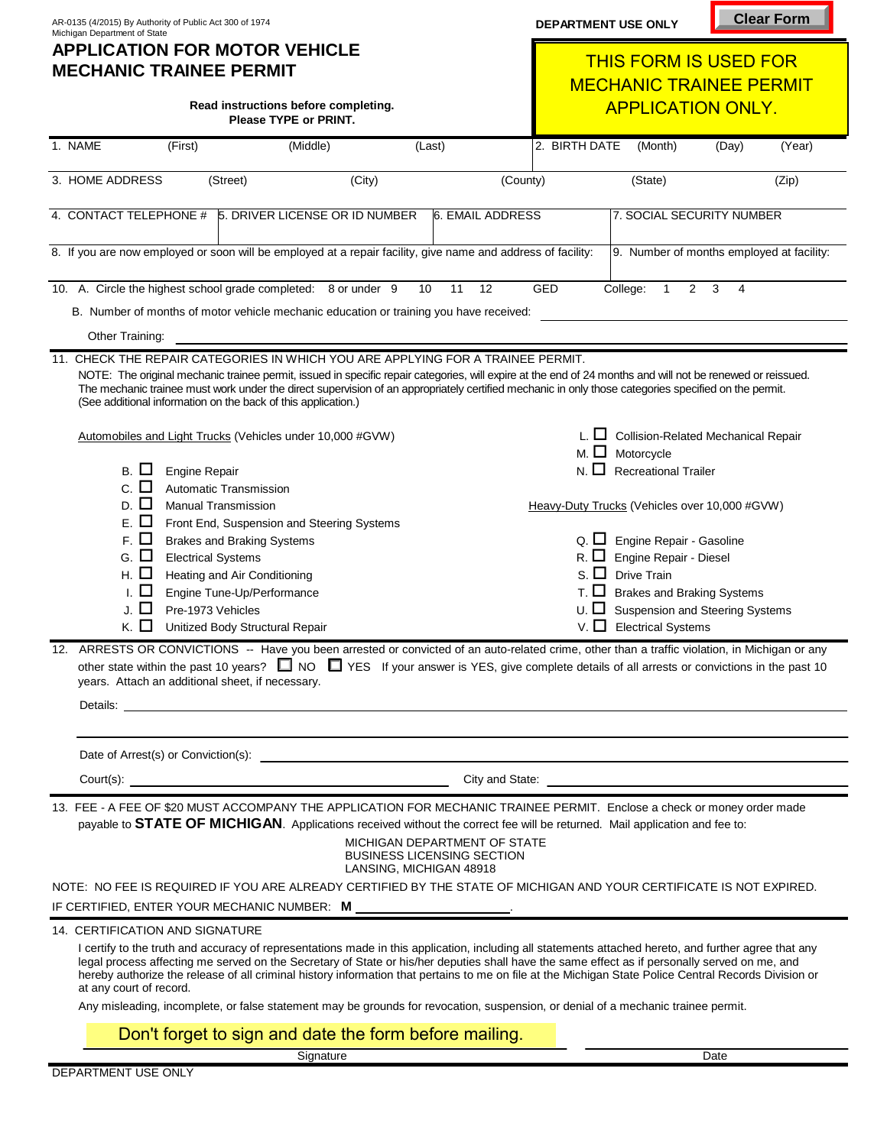| AR-0135 (4/2015) By Authority of Public Act 300 of 1974<br>Michigan Department of State<br><b>APPLICATION FOR MOTOR VEHICLE</b><br><b>MECHANIC TRAINEE PERMIT</b> |                                                               |                                                                                                                                                                                                                                                                                                                                                                                                                                                                                                                                                                                                      |                                                                   |                         | <b>DEPARTMENT USE ONLY</b>                                     |                                                                             | <b>Clear Form</b> |        |
|-------------------------------------------------------------------------------------------------------------------------------------------------------------------|---------------------------------------------------------------|------------------------------------------------------------------------------------------------------------------------------------------------------------------------------------------------------------------------------------------------------------------------------------------------------------------------------------------------------------------------------------------------------------------------------------------------------------------------------------------------------------------------------------------------------------------------------------------------------|-------------------------------------------------------------------|-------------------------|----------------------------------------------------------------|-----------------------------------------------------------------------------|-------------------|--------|
|                                                                                                                                                                   |                                                               |                                                                                                                                                                                                                                                                                                                                                                                                                                                                                                                                                                                                      |                                                                   |                         | <b>THIS FORM IS USED FOR</b><br><b>MECHANIC TRAINEE PERMIT</b> |                                                                             |                   |        |
|                                                                                                                                                                   |                                                               | Read instructions before completing.<br>Please TYPE or PRINT.                                                                                                                                                                                                                                                                                                                                                                                                                                                                                                                                        |                                                                   |                         |                                                                | <b>APPLICATION ONLY.</b>                                                    |                   |        |
| 1. NAME                                                                                                                                                           | (First)                                                       | (Middle)                                                                                                                                                                                                                                                                                                                                                                                                                                                                                                                                                                                             | (Last)                                                            |                         | 2. BIRTH DATE                                                  | (Month)                                                                     | (Day)             | (Year) |
| 3. HOME ADDRESS                                                                                                                                                   | (Street)                                                      | (City)                                                                                                                                                                                                                                                                                                                                                                                                                                                                                                                                                                                               |                                                                   | (County)                |                                                                | (State)                                                                     |                   | (Zip)  |
| 4. CONTACT TELEPHONE #                                                                                                                                            |                                                               | 5. DRIVER LICENSE OR ID NUMBER                                                                                                                                                                                                                                                                                                                                                                                                                                                                                                                                                                       |                                                                   | <b>6. EMAIL ADDRESS</b> |                                                                | 7. SOCIAL SECURITY NUMBER                                                   |                   |        |
|                                                                                                                                                                   |                                                               | 8. If you are now employed or soon will be employed at a repair facility, give name and address of facility:                                                                                                                                                                                                                                                                                                                                                                                                                                                                                         |                                                                   |                         |                                                                | 9. Number of months employed at facility:                                   |                   |        |
|                                                                                                                                                                   |                                                               | 10. A. Circle the highest school grade completed: 8 or under 9                                                                                                                                                                                                                                                                                                                                                                                                                                                                                                                                       | 10<br>11                                                          | 12                      | GED                                                            | College:<br>$\overline{2}$<br>$\mathbf{1}$                                  | 3<br>4            |        |
|                                                                                                                                                                   |                                                               | B. Number of months of motor vehicle mechanic education or training you have received:                                                                                                                                                                                                                                                                                                                                                                                                                                                                                                               |                                                                   |                         |                                                                |                                                                             |                   |        |
| Other Training:                                                                                                                                                   |                                                               |                                                                                                                                                                                                                                                                                                                                                                                                                                                                                                                                                                                                      |                                                                   |                         |                                                                |                                                                             |                   |        |
|                                                                                                                                                                   | (See additional information on the back of this application.) | 11. CHECK THE REPAIR CATEGORIES IN WHICH YOU ARE APPLYING FOR A TRAINEE PERMIT.<br>NOTE: The original mechanic trainee permit, issued in specific repair categories, will expire at the end of 24 months and will not be renewed or reissued.<br>The mechanic trainee must work under the direct supervision of an appropriately certified mechanic in only those categories specified on the permit.                                                                                                                                                                                                |                                                                   |                         |                                                                |                                                                             |                   |        |
|                                                                                                                                                                   |                                                               | Automobiles and Light Trucks (Vehicles under 10,000 #GVW)                                                                                                                                                                                                                                                                                                                                                                                                                                                                                                                                            |                                                                   |                         |                                                                | $L.$ $\Box$ Collision-Related Mechanical Repair<br>M. $\Box$ Motorcycle     |                   |        |
| <b>B.</b><br>ΙI                                                                                                                                                   | Engine Repair                                                 |                                                                                                                                                                                                                                                                                                                                                                                                                                                                                                                                                                                                      |                                                                   |                         | П<br>N.                                                        | <b>Recreational Trailer</b>                                                 |                   |        |
| C.<br>$\mathsf{L}$<br>D.                                                                                                                                          | Automatic Transmission<br><b>Manual Transmission</b>          |                                                                                                                                                                                                                                                                                                                                                                                                                                                                                                                                                                                                      |                                                                   |                         |                                                                | Heavy-Duty Trucks (Vehicles over 10,000 #GVW)                               |                   |        |
| Е.                                                                                                                                                                |                                                               | Front End, Suspension and Steering Systems                                                                                                                                                                                                                                                                                                                                                                                                                                                                                                                                                           |                                                                   |                         |                                                                |                                                                             |                   |        |
| г. О                                                                                                                                                              | <b>Brakes and Braking Systems</b>                             |                                                                                                                                                                                                                                                                                                                                                                                                                                                                                                                                                                                                      |                                                                   |                         |                                                                | $Q.$ $\Box$ Engine Repair - Gasoline                                        |                   |        |
| ⊔<br>G.                                                                                                                                                           | <b>Electrical Systems</b>                                     |                                                                                                                                                                                                                                                                                                                                                                                                                                                                                                                                                                                                      |                                                                   |                         |                                                                | Engine Repair - Diesel                                                      |                   |        |
| ப<br>Η.                                                                                                                                                           | Heating and Air Conditioning                                  |                                                                                                                                                                                                                                                                                                                                                                                                                                                                                                                                                                                                      |                                                                   |                         | $\Box$<br>S                                                    | <b>Drive Train</b>                                                          |                   |        |
| J.                                                                                                                                                                | Engine Tune-Up/Performance<br>Pre-1973 Vehicles               |                                                                                                                                                                                                                                                                                                                                                                                                                                                                                                                                                                                                      |                                                                   |                         |                                                                | <b>Brakes and Braking Systems</b><br><b>Suspension and Steering Systems</b> |                   |        |
| к. О                                                                                                                                                              | Unitized Body Structural Repair                               |                                                                                                                                                                                                                                                                                                                                                                                                                                                                                                                                                                                                      |                                                                   |                         | $V.$ $\Box$                                                    | <b>Electrical Systems</b>                                                   |                   |        |
|                                                                                                                                                                   | years. Attach an additional sheet, if necessary.              | ARRESTS OR CONVICTIONS -- Have you been arrested or convicted of an auto-related crime, other than a traffic violation, in Michigan or any<br>other state within the past 10 years? $\square$ NO $\square$ YES If your answer is YES, give complete details of all arrests or convictions in the past 10                                                                                                                                                                                                                                                                                             |                                                                   |                         |                                                                |                                                                             |                   |        |
|                                                                                                                                                                   |                                                               |                                                                                                                                                                                                                                                                                                                                                                                                                                                                                                                                                                                                      |                                                                   |                         |                                                                |                                                                             |                   |        |
|                                                                                                                                                                   |                                                               |                                                                                                                                                                                                                                                                                                                                                                                                                                                                                                                                                                                                      |                                                                   |                         |                                                                |                                                                             |                   |        |
|                                                                                                                                                                   |                                                               | 13. FEE - A FEE OF \$20 MUST ACCOMPANY THE APPLICATION FOR MECHANIC TRAINEE PERMIT. Enclose a check or money order made<br>payable to STATE OF MICHIGAN. Applications received without the correct fee will be returned. Mail application and fee to:                                                                                                                                                                                                                                                                                                                                                | MICHIGAN DEPARTMENT OF STATE<br><b>BUSINESS LICENSING SECTION</b> |                         |                                                                |                                                                             |                   |        |
|                                                                                                                                                                   |                                                               | NOTE: NO FEE IS REQUIRED IF YOU ARE ALREADY CERTIFIED BY THE STATE OF MICHIGAN AND YOUR CERTIFICATE IS NOT EXPIRED.                                                                                                                                                                                                                                                                                                                                                                                                                                                                                  | LANSING, MICHIGAN 48918                                           |                         |                                                                |                                                                             |                   |        |
|                                                                                                                                                                   |                                                               |                                                                                                                                                                                                                                                                                                                                                                                                                                                                                                                                                                                                      |                                                                   |                         |                                                                |                                                                             |                   |        |
| at any court of record.                                                                                                                                           | 14. CERTIFICATION AND SIGNATURE                               | I certify to the truth and accuracy of representations made in this application, including all statements attached hereto, and further agree that any<br>legal process affecting me served on the Secretary of State or his/her deputies shall have the same effect as if personally served on me, and<br>hereby authorize the release of all criminal history information that pertains to me on file at the Michigan State Police Central Records Division or<br>Any misleading, incomplete, or false statement may be grounds for revocation, suspension, or denial of a mechanic trainee permit. |                                                                   |                         |                                                                |                                                                             |                   |        |
|                                                                                                                                                                   |                                                               | Don't forget to sign and date the form before mailing.                                                                                                                                                                                                                                                                                                                                                                                                                                                                                                                                               |                                                                   |                         |                                                                |                                                                             |                   |        |

DEPARTMENT USE ONLY

Signature Date Date of the Second Contract of the Date Date of the Date Date of the Date of the Date of the Da